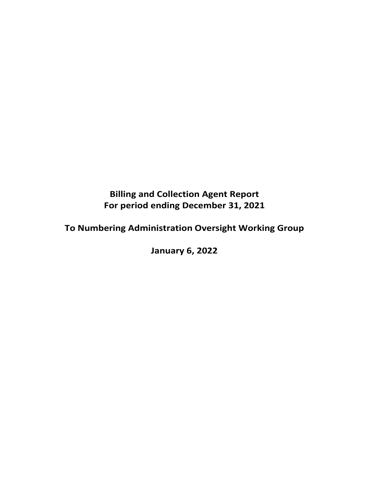# **Billing and Collection Agent Report For period ending December 31, 2021**

**To Numbering Administration Oversight Working Group**

**January 6, 2022**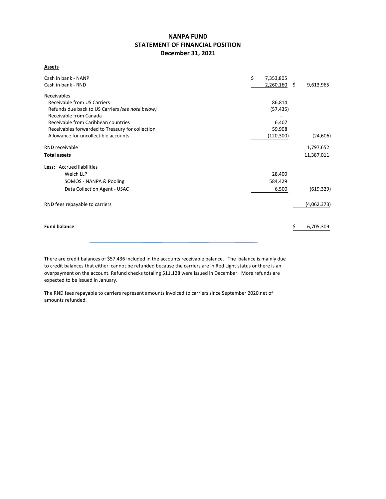# **NANPA FUND STATEMENT OF FINANCIAL POSITION December 31, 2021**

**Assets**

| Cash in bank - NANP                              | \$<br>7,353,805 |     |             |
|--------------------------------------------------|-----------------|-----|-------------|
| Cash in bank - RND                               | 2,260,160       | \$. | 9,613,965   |
| Receivables                                      |                 |     |             |
| Receivable from US Carriers                      | 86,814          |     |             |
| Refunds due back to US Carriers (see note below) | (57, 435)       |     |             |
| Receivable from Canada                           |                 |     |             |
| Receivable from Caribbean countries              | 6,407           |     |             |
| Receivables forwarded to Treasury for collection | 59,908          |     |             |
| Allowance for uncollectible accounts             | (120, 300)      |     | (24, 606)   |
| RND receivable                                   |                 |     | 1,797,652   |
| <b>Total assets</b>                              |                 |     | 11,387,011  |
| Less: Accrued liabilities                        |                 |     |             |
| Welch LLP                                        | 28,400          |     |             |
| SOMOS - NANPA & Pooling                          | 584,429         |     |             |
| Data Collection Agent - USAC                     | 6,500           |     | (619, 329)  |
| RND fees repayable to carriers                   |                 |     | (4,062,373) |
|                                                  |                 |     |             |
| <b>Fund balance</b>                              |                 |     | 6,705,309   |
|                                                  |                 |     |             |

There are credit balances of \$57,436 included in the accounts receivable balance. The balance is mainly due to credit balances that either cannot be refunded because the carriers are in Red Light status or there is an overpayment on the account. Refund checks totaling \$11,128 were issued in December. More refunds are expected to be issued in January.

The RND fees repayable to carriers represent amounts invoiced to carriers since September 2020 net of amounts refunded.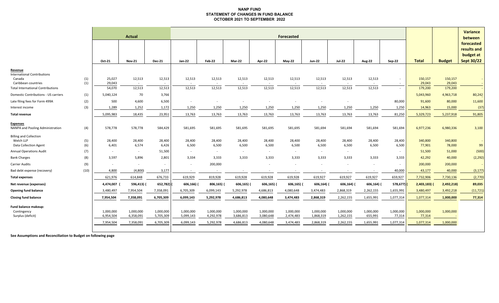#### **NANP FUND STATEMENT OF CHANGES IN FUND BALANCE OCTOBER 2021 TO SEPTEMBER 2022**

|                                                                                |            |                                     | Actual                              | Forecasted                          |                                     |                                     |                                     |                                     |                                     |                                     |                                     |                                   |                                  |                                  |                        | <b>Variance</b><br>between                                  |
|--------------------------------------------------------------------------------|------------|-------------------------------------|-------------------------------------|-------------------------------------|-------------------------------------|-------------------------------------|-------------------------------------|-------------------------------------|-------------------------------------|-------------------------------------|-------------------------------------|-----------------------------------|----------------------------------|----------------------------------|------------------------|-------------------------------------------------------------|
|                                                                                |            | Oct-21                              | <b>Nov-21</b>                       | <b>Dec-21</b>                       | Jan-22                              | <b>Feb-22</b>                       | Mar-22                              | Apr-22                              | May-22                              | <b>Jun-22</b>                       | <b>Jul-22</b>                       | <b>Aug-22</b>                     | Sep-22                           | <b>Total</b>                     | <b>Budget</b>          | forecasted<br>results and<br>budget at<br><b>Sept 30/22</b> |
| Revenue<br><b>International Contributions</b><br>Canada<br>Caribbean countries | (1)<br>(1) | 25,027<br>29,043                    | 12,513<br>$\sim$                    | 12,513<br>$\sim$                    | 12,513<br>$\sim$                    | 12,513<br>$\sim$                    | 12,513<br>$\sim$                    | 12,513<br>$\sim$                    | 12,513<br>$\sim$                    | 12,513<br>$\sim$                    | 12,513<br>$\sim$                    | 12,513<br>$\sim$                  | $\sim$<br>$\sim$                 | 150,157<br>29,043                | 150,157<br>29,043      |                                                             |
| <b>Total International Contributions</b>                                       |            | 54,070                              | 12,513                              | 12,513                              | 12,513                              | 12,513                              | 12,513                              | 12,513                              | 12,513                              | 12,513                              | 12,513                              | 12,513                            | $\sim$                           | 179,200                          | 179,200                |                                                             |
| Domestic Contributions - US carriers                                           | (1)        | 5,040,124                           | 70                                  | 3,766                               |                                     |                                     |                                     |                                     |                                     |                                     |                                     |                                   |                                  | 5,043,960                        | 4,963,718              | 80,242                                                      |
| Late filing fees for Form 499A                                                 | (2)        | 500                                 | 4,600                               | 6,500                               | $\overline{\phantom{a}}$            | $\sim$                              | $\overline{\phantom{a}}$            |                                     |                                     |                                     |                                     |                                   | 80,000                           | 91,600                           | 80,000                 | 11,600                                                      |
| Interest income                                                                | (3)        | 1,289                               | 1,252                               | 1,172                               | 1,250                               | 1,250                               | 1,250                               | 1,250                               | 1,250                               | 1,250                               | 1,250                               | 1,250                             | 1,250                            | 14,963                           | 15,000                 | (37)                                                        |
| <b>Total revenue</b>                                                           |            | 5,095,983                           | 18,435                              | 23,951                              | 13,763                              | 13,763                              | 13,763                              | 13,763                              | 13,763                              | 13,763                              | 13,763                              | 13,763                            | 81,250                           | 5,329,723                        | 5,237,918              | 91,805                                                      |
| <b>Expenses</b><br>NANPA and Pooling Administration                            | (4)        | 578,778                             | 578,778                             | 584,429                             | 581,695                             | 581,695                             | 581,695                             | 581,695                             | 581,695                             | 581,694                             | 581,694                             | 581,694                           | 581,694                          | 6,977,236                        | 6,980,336              | 3,100                                                       |
| <b>Billing and Collection</b><br>Welch LLP<br><b>Data Collection Agent</b>     | (5)<br>(6) | 28,400<br>6,401                     | 28,400<br>6,574                     | 28,400<br>6,426                     | 28,400<br>6,500                     | 28,400<br>6,500                     | 28,400<br>6,500                     | 28,400<br>6,500                     | 28,400<br>6,500                     | 28,400<br>6,500                     | 28,400<br>6,500                     | 28,400<br>6,500                   | 28,400<br>6,500                  | 340,800<br>77,901                | 340,800<br>78,000      | 99                                                          |
| <b>Annual Operations Audit</b>                                                 | (7)        | $\sim$                              | $\sim$                              | 51,500                              | $\sim$                              | $\sim$                              | $\overline{\phantom{a}}$            | $\sim$                              | $\sim$                              | $\sim$                              | $\sim$                              |                                   | $\sim$                           | 51,500                           | 51,000                 | (500)                                                       |
| <b>Bank Charges</b>                                                            | (8)        | 3,597                               | 5,896                               | 2,801                               | 3,334                               | 3,333                               | 3,333                               | 3,333                               | 3,333                               | 3,333                               | 3,333                               | 3,333                             | 3,333                            | 42,292                           | 40,000                 | (2, 292)                                                    |
| <b>Carrier Audits</b>                                                          | (9)        | $\sim$                              | $\sim$                              | $\sim$                              | $\sim$                              | 200,000                             |                                     | $\overline{\phantom{a}}$            |                                     | $\overline{\phantom{a}}$            | $\overline{\phantom{a}}$            | $\sim$                            | $\sim$                           | 200,000                          | 200,000                |                                                             |
| Bad debt expense (recovery)                                                    | (10)       | 4,800                               | (4,800)                             | 3,177                               | $\sim$                              |                                     |                                     |                                     |                                     |                                     |                                     |                                   | 40,000                           | 43,177                           | 40,000                 | (3, 177)                                                    |
| <b>Total expenses</b>                                                          |            | 621,976                             | 614,848                             | 676,733                             | 619,929                             | 819,928                             | 619,928                             | 619,928                             | 619,928                             | 619,927                             | 619,927                             | 619,927                           | 659,927                          | 7,732,906                        | 7,730,136              | (2,770)                                                     |
| Net revenue (expenses)                                                         |            | 4,474,007                           | 596,413)                            | 652,782)                            | 606,166)                            | 806,165) (                          | 606,165) (                          | 606,165)                            | 606,165)                            | 606,164)                            | 606,164) (                          | 606,164) (                        | 578,677)                         | $2,403,183$ (                    | 2,492,218)             | 89,035                                                      |
| <b>Opening fund balance</b>                                                    |            | 3,480,497                           | 7,954,504                           | 7,358,091                           | 6,705,309                           | 6,099,143                           | 5,292,978                           | 4,686,813                           | 4,080,648                           | 3,474,483                           | 2,868,319                           | 2,262,155                         | 1,655,991                        | 3,480,497                        | 3,492,218              | (11, 721)                                                   |
| <b>Closing fund balance</b>                                                    |            | 7,954,504                           | 7,358,091                           | 6,705,309                           | 6,099,143                           | 5,292,978                           | 4,686,813                           | 4,080,648                           | 3,474,483                           | 2,868,319                           | 2,262,155                           | 1,655,991                         | 1,077,314                        | 1,077,314                        | 1,000,000              | 77,314                                                      |
| Fund balance makeup:<br>Contingency<br>Surplus (deficit)                       |            | 1,000,000<br>6,954,504<br>7,954,504 | 1,000,000<br>6,358,091<br>7,358,091 | 1,000,000<br>5,705,309<br>6,705,309 | 1,000,000<br>5,099,143<br>6,099,143 | 1,000,000<br>4,292,978<br>5,292,978 | 1,000,000<br>3,686,813<br>4,686,813 | 1,000,000<br>3,080,648<br>4,080,648 | 1,000,000<br>2,474,483<br>3,474,483 | 1,000,000<br>1,868,319<br>2,868,319 | 1,000,000<br>1,262,155<br>2,262,155 | 1,000,000<br>655,991<br>1,655,991 | 1,000,000<br>77,314<br>1,077,314 | 1,000,000<br>77,314<br>1,077,314 | 1,000,000<br>1,000,000 |                                                             |

**See Assumptions and Reconciliation to Budget on following page**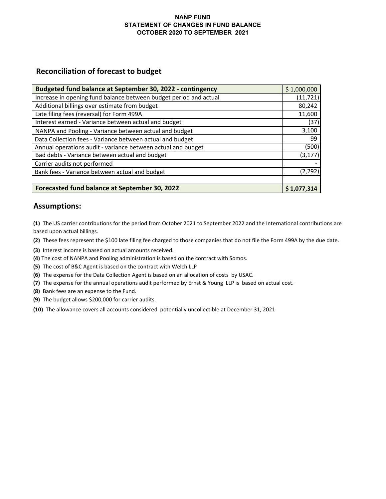### **NANP FUND STATEMENT OF CHANGES IN FUND BALANCE OCTOBER 2020 TO SEPTEMBER 2021**

# **Reconciliation of forecast to budget**

| Budgeted fund balance at September 30, 2022 - contingency         | \$1,000,000 |
|-------------------------------------------------------------------|-------------|
| Increase in opening fund balance between budget period and actual | (11, 721)   |
| Additional billings over estimate from budget                     | 80,242      |
| Late filing fees (reversal) for Form 499A                         | 11,600      |
| Interest earned - Variance between actual and budget              | (37)        |
| NANPA and Pooling - Variance between actual and budget            | 3,100       |
| Data Collection fees - Variance between actual and budget         | 99          |
| Annual operations audit - variance between actual and budget      | (500)       |
| Bad debts - Variance between actual and budget                    | (3, 177)    |
| Carrier audits not performed                                      |             |
| Bank fees - Variance between actual and budget                    | (2, 292)    |
|                                                                   |             |
| Forecasted fund balance at September 30, 2022                     | \$1,077,314 |

# **Assumptions:**

**(1)** The US carrier contributions for the period from October 2021 to September 2022 and the International contributions are based upon actual billings.

**(2)** These fees represent the \$100 late filing fee charged to those companies that do not file the Form 499A by the due date.

- **(3)** Interest income is based on actual amounts received.
- **(4)** The cost of NANPA and Pooling administration is based on the contract with Somos.
- **(5)** The cost of B&C Agent is based on the contract with Welch LLP
- **(6)** The expense for the Data Collection Agent is based on an allocation of costs by USAC.
- **(7)** The expense for the annual operations audit performed by Ernst & Young LLP is based on actual cost.
- **(8)** Bank fees are an expense to the Fund.
- **(9)** The budget allows \$200,000 for carrier audits.
- **(10)** The allowance covers all accounts considered potentially uncollectible at December 31, 2021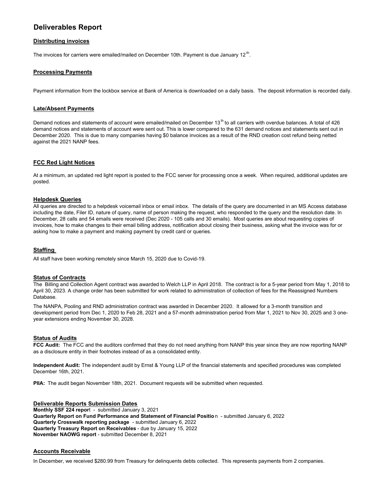# **Deliverables Report**

#### **Distributing invoices**

The invoices for carriers were emailed/mailed on December 10th. Payment is due January 12<sup>th</sup>.

#### **Processing Payments**

Payment information from the lockbox service at Bank of America is downloaded on a daily basis. The deposit information is recorded daily.

#### **Late/Absent Payments**

Demand notices and statements of account were emailed/mailed on December 13<sup>th</sup> to all carriers with overdue balances. A total of 426 demand notices and statements of account were sent out. This is lower compared to the 631 demand notices and statements sent out in December 2020. This is due to many companies having \$0 balance invoices as a result of the RND creation cost refund being netted against the 2021 NANP fees.

#### **FCC Red Light Notices**

At a minimum, an updated red light report is posted to the FCC server for processing once a week. When required, additional updates are posted.

#### **Helpdesk Queries**

All queries are directed to a helpdesk voicemail inbox or email inbox. The details of the query are documented in an MS Access database including the date, Filer ID, nature of query, name of person making the request, who responded to the query and the resolution date. In December, 28 calls and 54 emails were received (Dec 2020 - 105 calls and 30 emails). Most queries are about requesting copies of invoices, how to make changes to their email billing address, notification about closing their business, asking what the invoice was for or asking how to make a payment and making payment by credit card or queries.

#### **Staffing**

All staff have been working remotely since March 15, 2020 due to Covid-19.

#### **Status of Contracts**

The Billing and Collection Agent contract was awarded to Welch LLP in April 2018. The contract is for a 5-year period from May 1, 2018 to April 30, 2023. A change order has been submitted for work related to administration of collection of fees for the Reassigned Numbers Database.

The NANPA, Pooling and RND administration contract was awarded in December 2020. It allowed for a 3-month transition and development period from Dec 1, 2020 to Feb 28, 2021 and a 57-month administration period from Mar 1, 2021 to Nov 30, 2025 and 3 oneyear extensions ending November 30, 2028.

#### **Status of Audits**

**FCC Audit:** The FCC and the auditors confirmed that they do not need anything from NANP this year since they are now reporting NANP as a disclosure entity in their footnotes instead of as a consolidated entity.

**Independent Audit:** The independent audit by Ernst & Young LLP of the financial statements and specified procedures was completed December 16th, 2021.

**PIIA:** The audit began November 18th, 2021. Document requests will be submitted when requested.

**Deliverable Reports Submission Dates Monthly SSF 224 repor**t - submitted January 3, 2021 **Quarterly Report on Fund Performance and Statement of Financial Positio**n - submitted January 6, 2022 **Quarterly Crosswalk reporting package** - submitted January 6, 2022 **Quarterly Treasury Report on Receivables** - due by January 15, 2022 **November NAOWG report** - submitted December 8, 2021

#### **Accounts Receivable**

In December, we received \$280.99 from Treasury for delinquents debts collected. This represents payments from 2 companies.